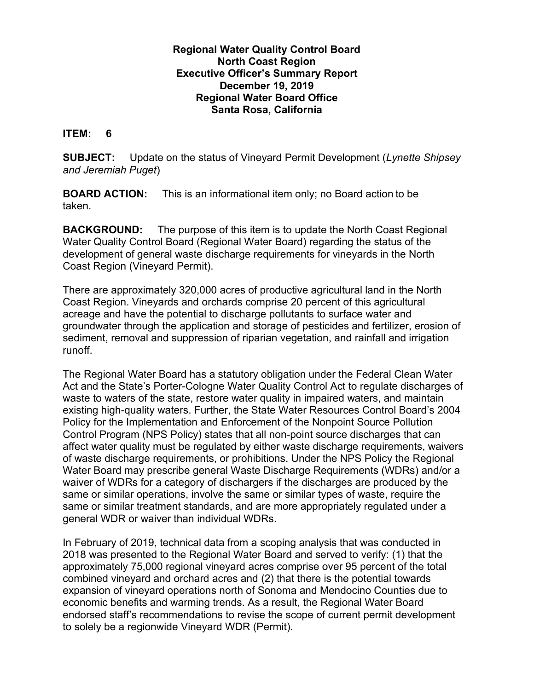## **Regional Water Quality Control Board North Coast Region Executive Officer's Summary Report December 19, 2019 Regional Water Board Office Santa Rosa, California**

## **ITEM: 6**

**SUBJECT:** Update on the status of Vineyard Permit Development (*Lynette Shipsey and Jeremiah Puget*)

**BOARD ACTION:** This is an informational item only; no Board action to be taken.

**BACKGROUND:** The purpose of this item is to update the North Coast Regional Water Quality Control Board (Regional Water Board) regarding the status of the development of general waste discharge requirements for vineyards in the North Coast Region (Vineyard Permit).

There are approximately 320,000 acres of productive agricultural land in the North Coast Region. Vineyards and orchards comprise 20 percent of this agricultural acreage and have the potential to discharge pollutants to surface water and groundwater through the application and storage of pesticides and fertilizer, erosion of sediment, removal and suppression of riparian vegetation, and rainfall and irrigation runoff.

The Regional Water Board has a statutory obligation under the Federal Clean Water Act and the State's Porter-Cologne Water Quality Control Act to regulate discharges of waste to waters of the state, restore water quality in impaired waters, and maintain existing high-quality waters. Further, the State Water Resources Control Board's 2004 Policy for the Implementation and Enforcement of the Nonpoint Source Pollution Control Program (NPS Policy) states that all non-point source discharges that can affect water quality must be regulated by either waste discharge requirements, waivers of waste discharge requirements, or prohibitions. Under the NPS Policy the Regional Water Board may prescribe general Waste Discharge Requirements (WDRs) and/or a waiver of WDRs for a category of dischargers if the discharges are produced by the same or similar operations, involve the same or similar types of waste, require the same or similar treatment standards, and are more appropriately regulated under a general WDR or waiver than individual WDRs.

In February of 2019, technical data from a scoping analysis that was conducted in 2018 was presented to the Regional Water Board and served to verify: (1) that the approximately 75,000 regional vineyard acres comprise over 95 percent of the total combined vineyard and orchard acres and (2) that there is the potential towards expansion of vineyard operations north of Sonoma and Mendocino Counties due to economic benefits and warming trends. As a result, the Regional Water Board endorsed staff's recommendations to revise the scope of current permit development to solely be a regionwide Vineyard WDR (Permit).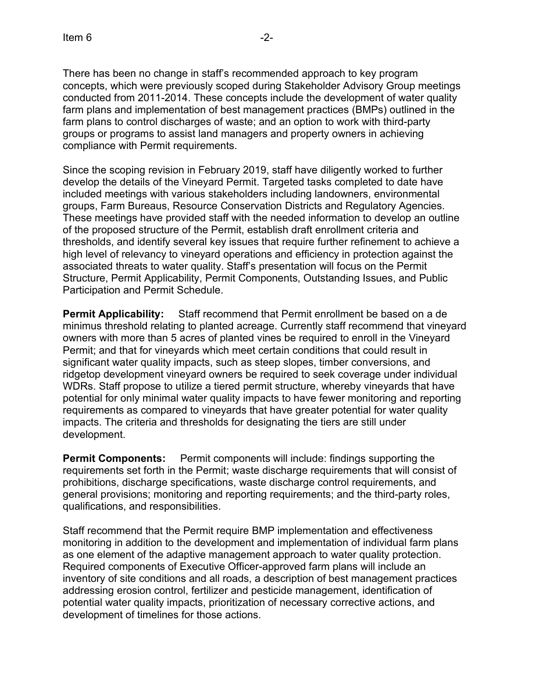compliance with Permit requirements.

There has been no change in staff's recommended approach to key program concepts, which were previously scoped during Stakeholder Advisory Group meetings conducted from 2011-2014. These concepts include the development of water quality farm plans and implementation of best management practices (BMPs) outlined in the farm plans to control discharges of waste; and an option to work with third-party

groups or programs to assist land managers and property owners in achieving

Since the scoping revision in February 2019, staff have diligently worked to further develop the details of the Vineyard Permit. Targeted tasks completed to date have included meetings with various stakeholders including landowners, environmental groups, Farm Bureaus, Resource Conservation Districts and Regulatory Agencies. These meetings have provided staff with the needed information to develop an outline of the proposed structure of the Permit, establish draft enrollment criteria and thresholds, and identify several key issues that require further refinement to achieve a high level of relevancy to vineyard operations and efficiency in protection against the associated threats to water quality. Staff's presentation will focus on the Permit Structure, Permit Applicability, Permit Components, Outstanding Issues, and Public Participation and Permit Schedule.

**Permit Applicability:** Staff recommend that Permit enrollment be based on a de minimus threshold relating to planted acreage. Currently staff recommend that vineyard owners with more than 5 acres of planted vines be required to enroll in the Vineyard Permit; and that for vineyards which meet certain conditions that could result in significant water quality impacts, such as steep slopes, timber conversions, and ridgetop development vineyard owners be required to seek coverage under individual WDRs. Staff propose to utilize a tiered permit structure, whereby vineyards that have potential for only minimal water quality impacts to have fewer monitoring and reporting requirements as compared to vineyards that have greater potential for water quality impacts. The criteria and thresholds for designating the tiers are still under development.

**Permit Components:** Permit components will include: findings supporting the requirements set forth in the Permit; waste discharge requirements that will consist of prohibitions, discharge specifications, waste discharge control requirements, and general provisions; monitoring and reporting requirements; and the third-party roles, qualifications, and responsibilities.

Staff recommend that the Permit require BMP implementation and effectiveness monitoring in addition to the development and implementation of individual farm plans as one element of the adaptive management approach to water quality protection. Required components of Executive Officer-approved farm plans will include an inventory of site conditions and all roads, a description of best management practices addressing erosion control, fertilizer and pesticide management, identification of potential water quality impacts, prioritization of necessary corrective actions, and development of timelines for those actions.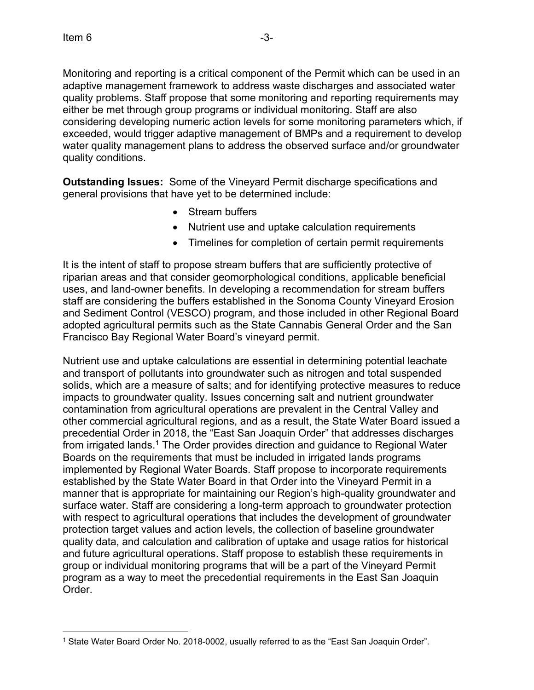Monitoring and reporting is a critical component of the Permit which can be used in an adaptive management framework to address waste discharges and associated water quality problems. Staff propose that some monitoring and reporting requirements may either be met through group programs or individual monitoring. Staff are also considering developing numeric action levels for some monitoring parameters which, if exceeded, would trigger adaptive management of BMPs and a requirement to develop water quality management plans to address the observed surface and/or groundwater quality conditions.

**Outstanding Issues:** Some of the Vineyard Permit discharge specifications and general provisions that have yet to be determined include:

- Stream buffers
- · Nutrient use and uptake calculation requirements
- · Timelines for completion of certain permit requirements

It is the intent of staff to propose stream buffers that are sufficiently protective of riparian areas and that consider geomorphological conditions, applicable beneficial uses, and land-owner benefits. In developing a recommendation for stream buffers staff are considering the buffers established in the Sonoma County Vineyard Erosion and Sediment Control (VESCO) program, and those included in other Regional Board adopted agricultural permits such as the State Cannabis General Order and the San Francisco Bay Regional Water Board's vineyard permit.

Nutrient use and uptake calculations are essential in determining potential leachate and transport of pollutants into groundwater such as nitrogen and total suspended solids, which are a measure of salts; and for identifying protective measures to reduce impacts to groundwater quality. Issues concerning salt and nutrient groundwater contamination from agricultural operations are prevalent in the Central Valley and other commercial agricultural regions, and as a result, the State Water Board issued a precedential Order in 2018, the "East San Joaquin Order" that addresses discharges from irrigated lands.<sup>[1](#page-2-0)</sup> The Order provides direction and guidance to Regional Water Boards on the requirements that must be included in irrigated lands programs implemented by Regional Water Boards. Staff propose to incorporate requirements established by the State Water Board in that Order into the Vineyard Permit in a manner that is appropriate for maintaining our Region's high-quality groundwater and surface water. Staff are considering a long-term approach to groundwater protection with respect to agricultural operations that includes the development of groundwater protection target values and action levels, the collection of baseline groundwater quality data, and calculation and calibration of uptake and usage ratios for historical and future agricultural operations. Staff propose to establish these requirements in group or individual monitoring programs that will be a part of the Vineyard Permit program as a way to meet the precedential requirements in the East San Joaquin Order.

<span id="page-2-0"></span><sup>1</sup> State Water Board Order No. 2018-0002, usually referred to as the "East San Joaquin Order".